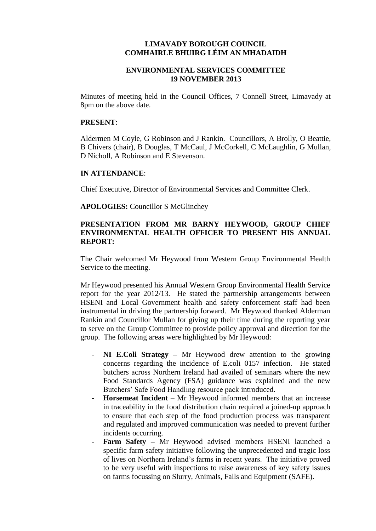### **LIMAVADY BOROUGH COUNCIL COMHAIRLE BHUIRG LÉIM AN MHADAIDH**

## **ENVIRONMENTAL SERVICES COMMITTEE 19 NOVEMBER 2013**

Minutes of meeting held in the Council Offices, 7 Connell Street, Limavady at 8pm on the above date.

#### **PRESENT**:

Aldermen M Coyle, G Robinson and J Rankin. Councillors, A Brolly, O Beattie, B Chivers (chair), B Douglas, T McCaul, J McCorkell, C McLaughlin, G Mullan, D Nicholl, A Robinson and E Stevenson.

#### **IN ATTENDANCE**:

Chief Executive, Director of Environmental Services and Committee Clerk.

**APOLOGIES:** Councillor S McGlinchey

## **PRESENTATION FROM MR BARNY HEYWOOD, GROUP CHIEF ENVIRONMENTAL HEALTH OFFICER TO PRESENT HIS ANNUAL REPORT:**

The Chair welcomed Mr Heywood from Western Group Environmental Health Service to the meeting.

Mr Heywood presented his Annual Western Group Environmental Health Service report for the year 2012/13. He stated the partnership arrangements between HSENI and Local Government health and safety enforcement staff had been instrumental in driving the partnership forward. Mr Heywood thanked Alderman Rankin and Councillor Mullan for giving up their time during the reporting year to serve on the Group Committee to provide policy approval and direction for the group. The following areas were highlighted by Mr Heywood:

- **- NI E.Coli Strategy –** Mr Heywood drew attention to the growing concerns regarding the incidence of E.coli 0157 infection. He stated butchers across Northern Ireland had availed of seminars where the new Food Standards Agency (FSA) guidance was explained and the new Butchers' Safe Food Handling resource pack introduced.
- **- Horsemeat Incident** Mr Heywood informed members that an increase in traceability in the food distribution chain required a joined-up approach to ensure that each step of the food production process was transparent and regulated and improved communication was needed to prevent further incidents occurring.
- **- Farm Safety –** Mr Heywood advised members HSENI launched a specific farm safety initiative following the unprecedented and tragic loss of lives on Northern Ireland's farms in recent years. The initiative proved to be very useful with inspections to raise awareness of key safety issues on farms focussing on Slurry, Animals, Falls and Equipment (SAFE).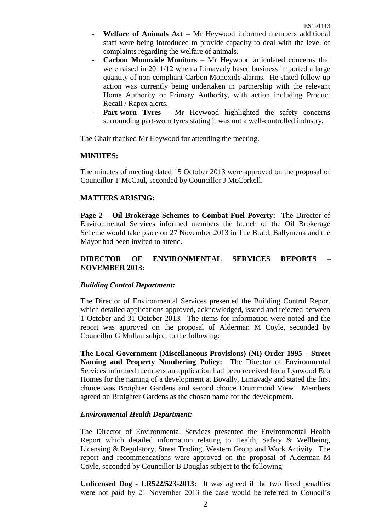- **- Welfare of Animals Act –** Mr Heywood informed members additional staff were being introduced to provide capacity to deal with the level of complaints regarding the welfare of animals.
- **- Carbon Monoxide Monitors –** Mr Heywood articulated concerns that were raised in 2011/12 when a Limavady based business imported a large quantity of non-compliant Carbon Monoxide alarms. He stated follow-up action was currently being undertaken in partnership with the relevant Home Authority or Primary Authority, with action including Product Recall / Rapex alerts.
- **Part-worn Tyres -** Mr Heywood highlighted the safety concerns surrounding part-worn tyres stating it was not a well-controlled industry.

The Chair thanked Mr Heywood for attending the meeting.

#### **MINUTES:**

The minutes of meeting dated 15 October 2013 were approved on the proposal of Councillor T McCaul, seconded by Councillor J McCorkell.

## **MATTERS ARISING:**

**Page 2 – Oil Brokerage Schemes to Combat Fuel Poverty:** The Director of Environmental Services informed members the launch of the Oil Brokerage Scheme would take place on 27 November 2013 in The Braid, Ballymena and the Mayor had been invited to attend.

# **DIRECTOR OF ENVIRONMENTAL SERVICES REPORTS – NOVEMBER 2013:**

## *Building Control Department:*

The Director of Environmental Services presented the Building Control Report which detailed applications approved, acknowledged, issued and rejected between 1 October and 31 October 2013. The items for information were noted and the report was approved on the proposal of Alderman M Coyle, seconded by Councillor G Mullan subject to the following:

**The Local Government (Miscellaneous Provisions) (NI) Order 1995 – Street Naming and Property Numbering Policy:** The Director of Environmental Services informed members an application had been received from Lynwood Eco Homes for the naming of a development at Bovally, Limavady and stated the first choice was Broighter Gardens and second choice Drummond View. Members agreed on Broighter Gardens as the chosen name for the development.

#### *Environmental Health Department:*

The Director of Environmental Services presented the Environmental Health Report which detailed information relating to Health, Safety & Wellbeing, Licensing & Regulatory, Street Trading, Western Group and Work Activity. The report and recommendations were approved on the proposal of Alderman M Coyle, seconded by Councillor B Douglas subject to the following:

**Unlicensed Dog - LR522/523-2013:** It was agreed if the two fixed penalties were not paid by 21 November 2013 the case would be referred to Council's